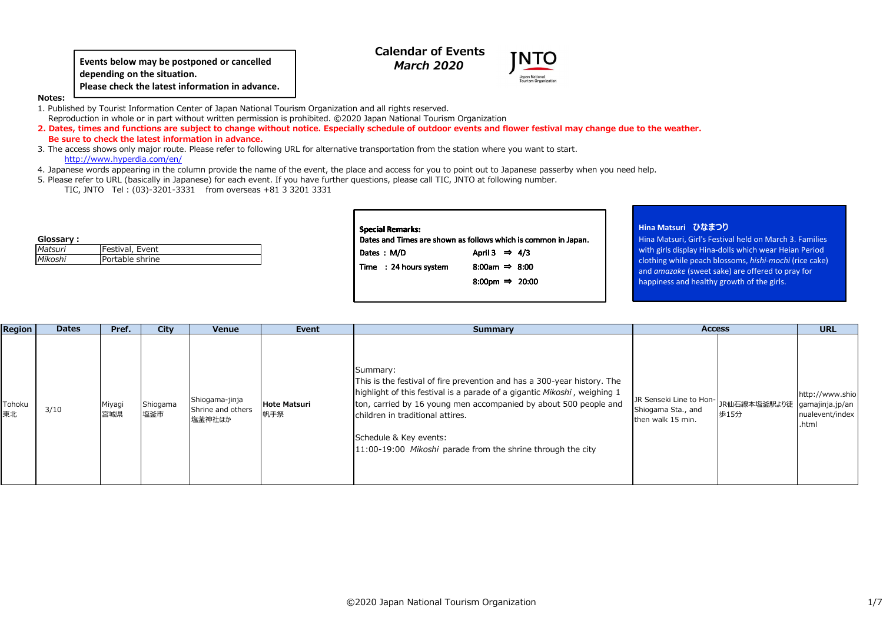**depending on the situation.Please check the latest information in advance.**

# **Calendar of Events***March 2020*

**Notes:**

 1. Published by Tourist Information Center of Japan National Tourism Organization and all rights reserved. Reproduction in whole or in part without written permission is prohibited. ©2020 Japan National Tourism Organization

 **2. Dates, times and functions are subject to change without notice. Especially schedule of outdoor events and flower festival may change due to the weather. Be sure to check the latest information in advance.**Events below may be postponed or cancelled<br>
Please check the latest information in advance.<br>
<br> **Events Information Center of Japan Rational Tourism Organization**<br>
and Tunnism Organization<br> **Interior of Please in the Unite** 

 3. The access shows only major route. Please refer to following URL for alternative transportation from the station where you want to start.http://www.hyperdia.com/en/

4. Japanese words appearing in the column provide the name of the event, the place and access for you to point out to Japanese passerby when you need help.

5. Please refer to URL (basically in Japanese) for each event. If you have further questions, please call TIC, JNTO at following number.

TIC, JNTO Tel : (03)-3201-3331 from overseas +81 3 3201 3331

| Glossary: |                 |
|-----------|-----------------|
| Matsuri   | Festival, Event |
| Mikoshi   | Portable shrine |

| <b>Special Remarks:</b>                                        |                            |  |  |  |  |  |  |  |  |  |  |  |
|----------------------------------------------------------------|----------------------------|--|--|--|--|--|--|--|--|--|--|--|
| Dates and Times are shown as follows which is common in Japan. |                            |  |  |  |  |  |  |  |  |  |  |  |
| Dates : M/D                                                    | April 3 $\Rightarrow$ 4/3  |  |  |  |  |  |  |  |  |  |  |  |
| Time : 24 hours system                                         | 8:00am $\Rightarrow$ 8:00  |  |  |  |  |  |  |  |  |  |  |  |
|                                                                | 8:00pm $\Rightarrow$ 20:00 |  |  |  |  |  |  |  |  |  |  |  |
|                                                                |                            |  |  |  |  |  |  |  |  |  |  |  |

### **Hina Matsuri ひなまつり**

 Hina Matsuri, Girl's Festival held on March 3. Families with girls display Hina-dolls which wear Heian Period clothing while peach blossoms, hishi-mochi (rice cake) *hishi-mochi* (rice cake) and amazake (sweet sake) are offered to pray for *amazake*happiness and healthy growth of the girls.

| Region       | <b>Dates</b> | Pref.         | City            | Venue                                         | Event                      | Summary                                                                                                                                                                                                                                                                                                                                                          | <b>Access</b>                                                      |                                      | <b>URL</b>                                  |  |
|--------------|--------------|---------------|-----------------|-----------------------------------------------|----------------------------|------------------------------------------------------------------------------------------------------------------------------------------------------------------------------------------------------------------------------------------------------------------------------------------------------------------------------------------------------------------|--------------------------------------------------------------------|--------------------------------------|---------------------------------------------|--|
| Tohoku<br>東北 | 3/10         | Miyagi<br>宮城県 | Shiogama<br>塩釜市 | Shiogama-jinja<br>Shrine and others<br>塩釜神社ほか | <b>Hote Matsuri</b><br>帆手祭 | Summary:<br>This is the festival of fire prevention and has a 300-year history. The<br>highlight of this festival is a parade of a gigantic Mikoshi, weighing 1<br>ton, carried by 16 young men accompanied by about 500 people and<br>children in traditional attires.<br>Schedule & Key events:<br>11:00-19:00 Mikoshi parade from the shrine through the city | JR Senseki Line to Hon-<br>Shiogama Sta., and<br>then walk 15 min. | JR仙石線本塩釜駅より徒 gamajinja.jp/an<br>歩15分 | http://www.shio<br>nualevent/index<br>.html |  |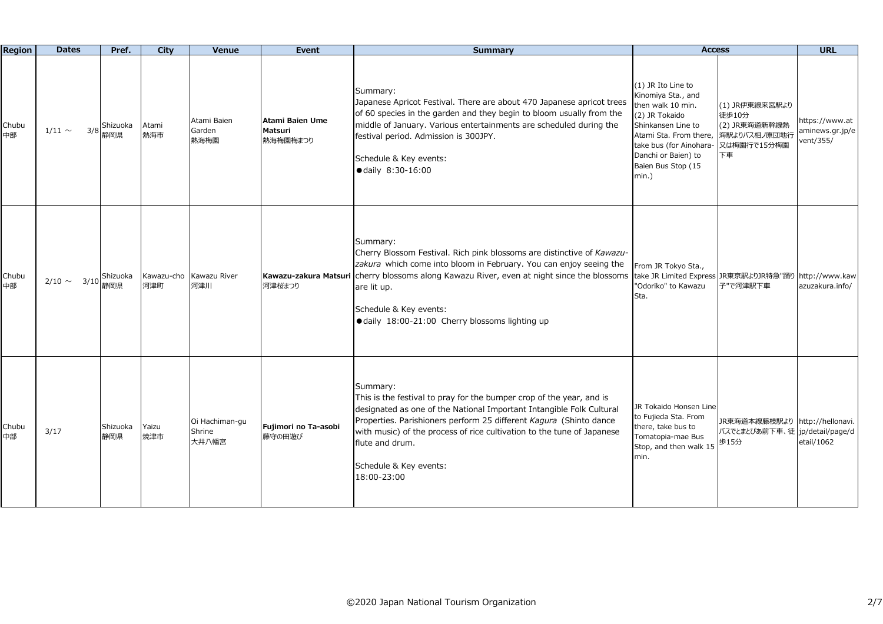| Region      | <b>Dates</b>        | Pref.           | City         | Venue                             | Event                                  | <b>Summary</b>                                                                                                                                                                                                                                                                                                                                                       | <b>Access</b>                                                                                                                                                                                                       |                                                                               | <b>URL</b>                                     |
|-------------|---------------------|-----------------|--------------|-----------------------------------|----------------------------------------|----------------------------------------------------------------------------------------------------------------------------------------------------------------------------------------------------------------------------------------------------------------------------------------------------------------------------------------------------------------------|---------------------------------------------------------------------------------------------------------------------------------------------------------------------------------------------------------------------|-------------------------------------------------------------------------------|------------------------------------------------|
| Chubu<br>中部 | 3/8<br>$1/11 \sim$  | Shizuoka<br>静岡県 | Atami<br>熱海市 | Atami Baien<br>Garden<br>熱海梅園     | Atami Baien Ume<br>Matsuri<br>熱海梅園梅まつり | Summary:<br>Japanese Apricot Festival. There are about 470 Japanese apricot trees<br>of 60 species in the garden and they begin to bloom usually from the<br>middle of January. Various entertainments are scheduled during the<br>festival period. Admission is 300JPY.<br>Schedule & Key events:<br>● daily 8:30-16:00                                             | (1) JR Ito Line to<br>Kinomiya Sta., and<br>then walk 10 min.<br>(2) JR Tokaido<br>Shinkansen Line to<br>Atami Sta. From there,<br>take bus (for Ainohara-<br>Danchi or Baien) to<br>Baien Bus Stop (15<br>$min.$ ) | (1) JR伊東線来宮駅より<br>徒歩10分<br>(2) JR東海道新幹線熱<br>海駅よりバス相ノ原団地行<br>又は梅園行で15分梅園<br>下車 | ittps://www.at<br>aminews.gr.jp/e<br>vent/355/ |
| Chubu<br>中部 | $2/10 \sim$<br>3/10 | Shizuoka<br>静岡県 | 河津町          | Kawazu-cho Kawazu River<br>河津川    | Kawazu-zakura Matsuri<br>河津桜まつり        | Summary:<br>Cherry Blossom Festival. Rich pink blossoms are distinctive of Kawazu-<br>zakura which come into bloom in February. You can enjoy seeing the<br>cherry blossoms along Kawazu River, even at night since the blossoms<br>are lit up.<br>Schedule & Key events:<br>· daily 18:00-21:00 Cherry blossoms lighting up                                         | From JR Tokyo Sta.,<br>take JR Limited Express JR東京駅よりJR特急"踊り http://www.kaw<br>"Odoriko" to Kawazu<br>Sta.                                                                                                         | 子"で河津駅下車                                                                      | azuzakura.info/                                |
| Chubu<br>中部 | 3/17                | Shizuoka<br>静岡県 | Yaizu<br>焼津市 | Oi Hachiman-gu<br>Shrine<br>大井八幡宮 | Fujimori no Ta-asobi<br>藤守の田遊び         | Summary:<br>This is the festival to pray for the bumper crop of the year, and is<br>designated as one of the National Important Intangible Folk Cultural<br>Properties. Parishioners perform 25 different Kagura (Shinto dance<br>with music) of the process of rice cultivation to the tune of Japanese<br>flute and drum.<br>Schedule & Key events:<br>18:00-23:00 | JR Tokaido Honsen Line<br>to Fujieda Sta. From<br>there, take bus to<br>Tomatopia-mae Bus<br>Stop, and then walk 15<br>min.                                                                                         | JR東海道本線藤枝駅より http://hellonavi.<br>バスでとまとぴあ前下車、徒 jp/detail/page/d<br>歩15分      | etail/1062                                     |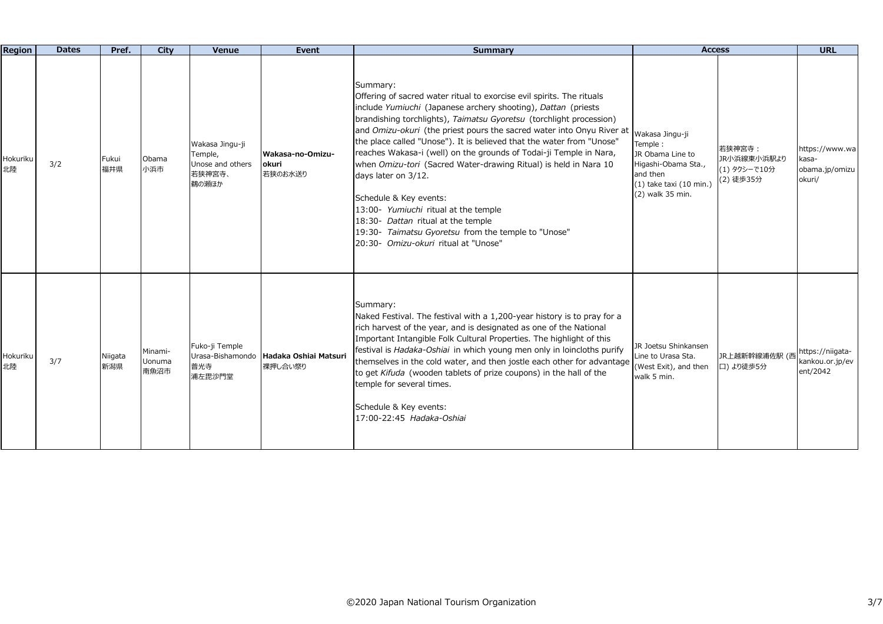| <b>Region</b>  | <b>Dates</b> | Pref.          | City                      | Venue                                                             | Event                                             | <b>Summary</b>                                                                                                                                                                                                                                                                                                                                                                                                                                                                                                                                                                                                                                                                                                                                      | <b>Access</b>                                                                                                                                |                                                    | <b>URL</b>                                          |
|----------------|--------------|----------------|---------------------------|-------------------------------------------------------------------|---------------------------------------------------|-----------------------------------------------------------------------------------------------------------------------------------------------------------------------------------------------------------------------------------------------------------------------------------------------------------------------------------------------------------------------------------------------------------------------------------------------------------------------------------------------------------------------------------------------------------------------------------------------------------------------------------------------------------------------------------------------------------------------------------------------------|----------------------------------------------------------------------------------------------------------------------------------------------|----------------------------------------------------|-----------------------------------------------------|
| Hokuriku<br>北陸 | 3/2          | Fukui<br>福井県   | Obama<br>小浜市              | Wakasa Jingu-ji<br>Temple,<br>Unose and others<br>若狭神宮寺、<br>鵜の瀬ほか | Wakasa-no-Omizu-<br>okuri<br>若狭のお水送り              | Summary:<br>Offering of sacred water ritual to exorcise evil spirits. The rituals<br>include Yumiuchi (Japanese archery shooting), Dattan (priests<br>brandishing torchlights), Taimatsu Gyoretsu (torchlight procession)<br>and Omizu-okuri (the priest pours the sacred water into Onyu River at<br>the place called "Unose"). It is believed that the water from "Unose"<br>reaches Wakasa-i (well) on the grounds of Todai-ji Temple in Nara,<br>when Omizu-tori (Sacred Water-drawing Ritual) is held in Nara 10<br>days later on 3/12.<br>Schedule & Key events:<br>13:00- Yumiuchi ritual at the temple<br>18:30- Dattan ritual at the temple<br>19:30- Taimatsu Gyoretsu from the temple to "Unose"<br>20:30- Omizu-okuri ritual at "Unose" | Wakasa Jingu-ii<br>Temple:<br>JR Obama Line to<br>Higashi-Obama Sta.,<br>and then<br>$(1)$ take taxi $(10 \text{ min.})$<br>(2) walk 35 min. | 若狭神宮寺:<br>JR小浜線東小浜駅より<br>(1) タクシーで10分<br>(2) 徒歩35分 | https://www.wa<br>casa-<br>obama.jp/omizu<br>okuri/ |
| Hokuriku<br>北陸 | 3/7          | Niigata<br>新潟県 | Minami-<br>Uonuma<br>南魚沼市 | Fuko-ji Temple<br>普光寺<br>浦左毘沙門堂                                   | Urasa-Bishamondo Hadaka Oshiai Matsuri<br>裸押し合い祭り | Summary:<br>Naked Festival. The festival with a 1,200-year history is to pray for a<br>rich harvest of the year, and is designated as one of the National<br>Important Intangible Folk Cultural Properties. The highlight of this<br>festival is Hadaka-Oshiai in which young men only in loincloths purify<br>themselves in the cold water, and then jostle each other for advantage<br>to get Kifuda (wooden tablets of prize coupons) in the hall of the<br>temple for several times.<br>Schedule & Key events:<br>17:00-22:45 Hadaka-Oshiai                                                                                                                                                                                                     | JR Joetsu Shinkansen<br>Line to Urasa Sta.<br>(West Exit), and then<br>walk 5 min.                                                           | JR上越新幹線浦佐駅 (西<br>口)より徒歩5分                          | https://niigata-<br>kankou.or.jp/ev<br>ent/2042     |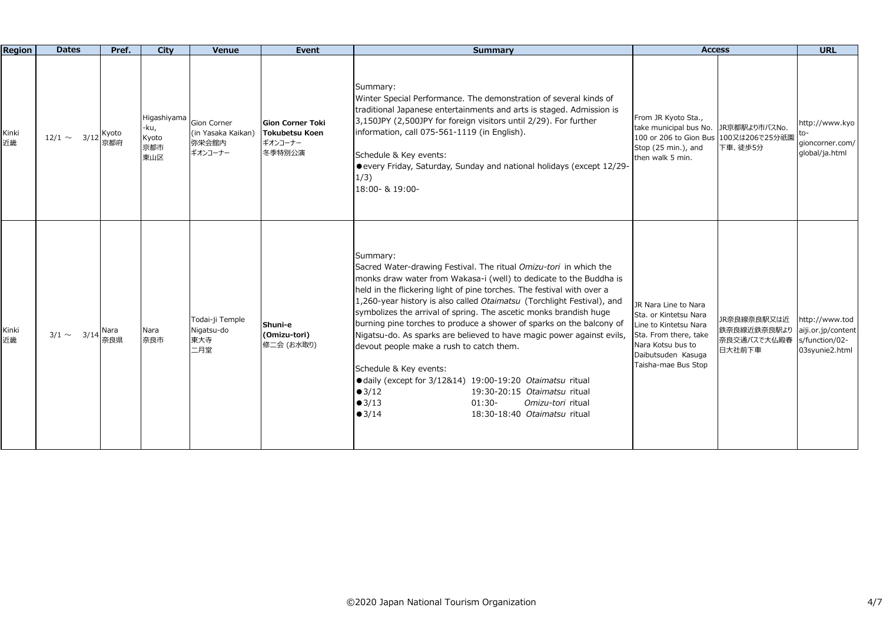| Region      | <b>Dates</b>     | Pref.        | City                                       | Venue                                                 | Event                                                                 | <b>Summary</b>                                                                                                                                                                                                                                                                                                                                                                                                                                                                                                                                                                                                                                                                                                                                                                                                 | <b>Access</b>                                                                                                                                                                                                            | <b>URL</b>                                                               |
|-------------|------------------|--------------|--------------------------------------------|-------------------------------------------------------|-----------------------------------------------------------------------|----------------------------------------------------------------------------------------------------------------------------------------------------------------------------------------------------------------------------------------------------------------------------------------------------------------------------------------------------------------------------------------------------------------------------------------------------------------------------------------------------------------------------------------------------------------------------------------------------------------------------------------------------------------------------------------------------------------------------------------------------------------------------------------------------------------|--------------------------------------------------------------------------------------------------------------------------------------------------------------------------------------------------------------------------|--------------------------------------------------------------------------|
| Kinki<br>近畿 | $12/1 \sim 3/12$ | Kyoto<br>京都府 | Higashiyama<br>-ku,<br>Kyoto<br>京都市<br>東山区 | Gion Corner<br>(in Yasaka Kaikan)<br>弥栄会館内<br>ギオンコーナー | <b>Gion Corner Toki</b><br><b>Tokubetsu Koen</b><br>ギオンコーナー<br>冬季特別公演 | Summary:<br>Winter Special Performance. The demonstration of several kinds of<br>traditional Japanese entertainments and arts is staged. Admission is<br>3,150JPY (2,500JPY for foreign visitors until 2/29). For further<br>information, call 075-561-1119 (in English).<br>Schedule & Key events:<br>● every Friday, Saturday, Sunday and national holidays (except 12/29-<br>1/3)<br>18:00- & 19:00-                                                                                                                                                                                                                                                                                                                                                                                                        | From JR Kyoto Sta.,<br>take municipal bus No.<br>JR京都駅より市バスNo.<br>100 or 206 to Gion Bus 100又は206で25分祇園<br>Stop (25 min.), and<br>下車、徒歩5分<br>then walk 5 min.                                                            | http://www.kyo<br>gioncorner.com/<br>global/ja.html                      |
| Kinki<br>近畿 | $3/1 \sim 3/14$  | Nara<br>奈良県  | Nara<br>奈良市                                | Todai-ji Temple<br>Nigatsu-do<br>東大寺<br>二月堂           | Shuni-e<br>(Omizu-tori)<br>修二会 (お水取り)                                 | Summary:<br>Sacred Water-drawing Festival. The ritual Omizu-tori in which the<br>monks draw water from Wakasa-i (well) to dedicate to the Buddha is<br>held in the flickering light of pine torches. The festival with over a<br>1,260-year history is also called Otaimatsu (Torchlight Festival), and<br>symbolizes the arrival of spring. The ascetic monks brandish huge<br>burning pine torches to produce a shower of sparks on the balcony of<br>Nigatsu-do. As sparks are believed to have magic power against evils,<br>devout people make a rush to catch them.<br>Schedule & Key events:<br>● daily (except for 3/12&14) 19:00-19:20 Otaimatsu ritual<br>$\bullet$ 3/12<br>19:30-20:15 Otaimatsu ritual<br>$\bullet$ 3/13<br>$01:30-$<br>Omizu-tori ritual<br>•3/14<br>18:30-18:40 Otaimatsu ritual | JR Nara Line to Nara<br>Sta, or Kintetsu Nara<br>JR奈良線奈良駅又は近<br>Line to Kintetsu Nara<br>鉄奈良線近鉄奈良駅より<br>Sta. From there, take<br>奈良交通バスで大仏殿春<br>Nara Kotsu bus to<br>日大社前下車<br>Daibutsuden Kasuga<br>Taisha-mae Bus Stop | http://www.tod<br>aiji.or.jp/content<br>s/function/02-<br>03syunie2.html |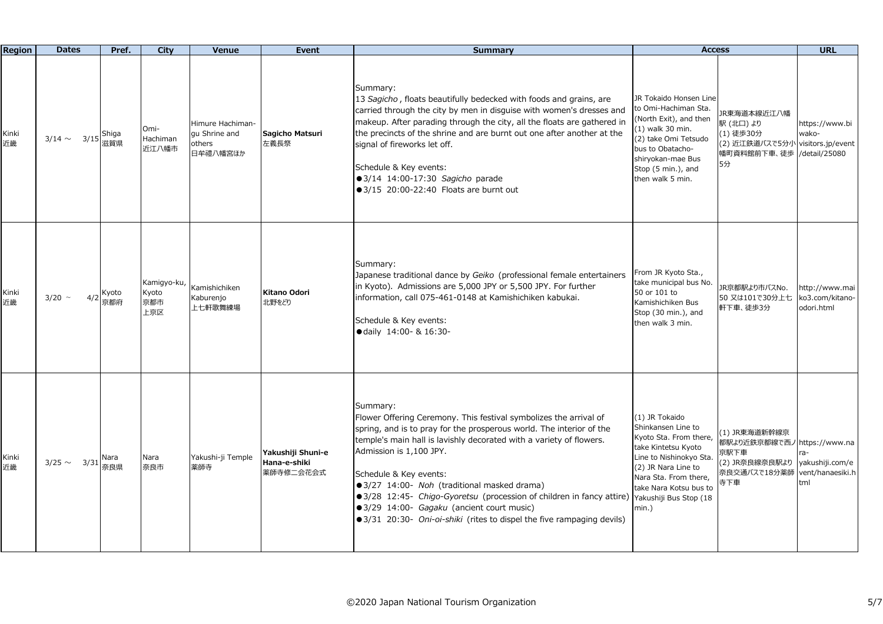| <b>Region</b> | <b>Dates</b>        | Pref.        | City                               | Venue                                                   | <b>Event</b>                                   | <b>Summary</b>                                                                                                                                                                                                                                                                                                                                                                                                                                                                                                                                              | <b>Access</b>                                                                                                                                                                                           |                                                                                                | <b>URL</b>                                                   |
|---------------|---------------------|--------------|------------------------------------|---------------------------------------------------------|------------------------------------------------|-------------------------------------------------------------------------------------------------------------------------------------------------------------------------------------------------------------------------------------------------------------------------------------------------------------------------------------------------------------------------------------------------------------------------------------------------------------------------------------------------------------------------------------------------------------|---------------------------------------------------------------------------------------------------------------------------------------------------------------------------------------------------------|------------------------------------------------------------------------------------------------|--------------------------------------------------------------|
| Kinki<br>近畿   | 3/15<br>$3/14 \sim$ | Shiga<br>滋賀県 | Omi-<br>Hachiman<br>近江八幡市          | Himure Hachiman-<br>qu Shrine and<br>others<br>日牟禮八幡宮ほか | Sagicho Matsuri<br>左義長祭                        | Summary:<br>13 Sagicho, floats beautifully bedecked with foods and grains, are<br>carried through the city by men in disguise with women's dresses and<br>makeup. After parading through the city, all the floats are gathered in<br>the precincts of the shrine and are burnt out one after another at the<br>signal of fireworks let off.<br>Schedule & Key events:<br>● 3/14 14:00-17:30 Sagicho parade<br>$\bullet$ 3/15 20:00-22:40 Floats are burnt out                                                                                               | JR Tokaido Honsen Line<br>to Omi-Hachiman Sta.<br>(North Exit), and then<br>(1) walk 30 min.<br>(2) take Omi Tetsudo<br>bus to Obatacho-<br>shiryokan-mae Bus<br>Stop (5 min.), and<br>then walk 5 min. | JR東海道本線近江八幡<br>駅 (北口) より<br>(1) 徒歩30分<br>(2) 近江鉄道バスで5分小 visitors.jp/event<br>幡町資料館前下車、徒歩<br>5分 | https://www.bi<br>wako-<br>/detail/25080                     |
| Kinki<br>近畿   | $3/20$ ~<br>4/2     | Kyoto<br>京都府 | Kamigyo-ku,<br>Kyoto<br>京都市<br>上京区 | Kamishichiken<br>Kaburenjo<br>上七軒歌舞練場                   | Kitano Odori<br>北野をどり                          | Summary:<br>Japanese traditional dance by Geiko (professional female entertainers<br>in Kyoto). Admissions are 5,000 JPY or 5,500 JPY. For further<br>information, call 075-461-0148 at Kamishichiken kabukai.<br>Schedule & Key events:<br>● daily 14:00- & 16:30-                                                                                                                                                                                                                                                                                         | From JR Kyoto Sta.,<br>take municipal bus No.<br>50 or 101 to<br>Kamishichiken Bus<br>Stop (30 min.), and<br>then walk 3 min.                                                                           | JR京都駅より市バスNo.<br>50 又は101で30分上七<br>軒下車、徒歩3分                                                    | http://www.mai<br>ko3.com/kitano-<br>odori.html              |
| Kinki<br>近畿   | $3/25 \sim 3/31$    | Nara<br>奈良県  | Nara<br>奈良市                        | Yakushi-ji Temple<br>薬師寺                                | Yakushiji Shuni-e<br>Hana-e-shiki<br>薬師寺修二会花会式 | Summary:<br>Flower Offering Ceremony. This festival symbolizes the arrival of<br>spring, and is to pray for the prosperous world. The interior of the<br>temple's main hall is lavishly decorated with a variety of flowers.<br>Admission is 1,100 JPY.<br>Schedule & Key events:<br>● 3/27 14:00- Noh (traditional masked drama)<br>● 3/28 12:45- Chigo-Gyoretsu (procession of children in fancy attire)   Yakushiji Bus Stop (18<br>● 3/29 14:00- Gagaku (ancient court music)<br>● 3/31 20:30- Oni-oi-shiki (rites to dispel the five rampaging devils) | (1) JR Tokaido<br>Shinkansen Line to<br>Kyoto Sta. From there,<br>take Kintetsu Kyoto<br>Line to Nishinokyo Sta.<br>(2) JR Nara Line to<br>Nara Sta. From there,<br>take Nara Kotsu bus to<br>$min.$ )  | (1) JR東海道新幹線京<br>都駅より近鉄京都線で西ノ<br>京駅下車<br>(2) JR奈良線奈良駅より<br>奈良交通バスで18分薬師<br>寺下車                 | https://www.na<br>yakushiji.com/e<br>vent/hanaesiki.h<br>tml |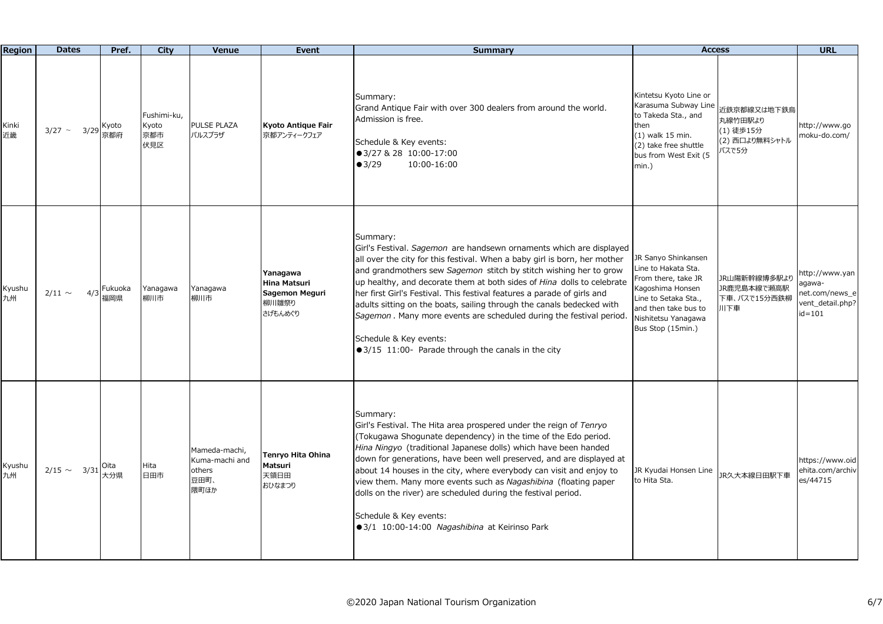| <b>Region</b> | <b>Dates</b>       | Pref.          | City                               | Venue                                                     | <b>Event</b>                                                   | <b>Summary</b>                                                                                                                                                                                                                                                                                                                                                                                                                                                                                                                                                                                                                  | <b>Access</b>                                                                                                                                                                     |                                                                | <b>URL</b>                                                                   |
|---------------|--------------------|----------------|------------------------------------|-----------------------------------------------------------|----------------------------------------------------------------|---------------------------------------------------------------------------------------------------------------------------------------------------------------------------------------------------------------------------------------------------------------------------------------------------------------------------------------------------------------------------------------------------------------------------------------------------------------------------------------------------------------------------------------------------------------------------------------------------------------------------------|-----------------------------------------------------------------------------------------------------------------------------------------------------------------------------------|----------------------------------------------------------------|------------------------------------------------------------------------------|
| Kinki<br>近畿   | $3/27$ ~<br>3/29   | Kyoto<br>京都府   | Fushimi-ku,<br>Kyoto<br>京都市<br>伏見区 | PULSE PLAZA<br>パルスプラザ                                     | Kyoto Antique Fair<br>京都アンティークフェア                              | Summary:<br>Grand Antique Fair with over 300 dealers from around the world.<br>Admission is free.<br>Schedule & Key events:<br>● 3/27 & 28 10:00-17:00<br>$\bullet$ 3/29<br>10:00-16:00                                                                                                                                                                                                                                                                                                                                                                                                                                         | Kintetsu Kyoto Line or<br>Karasuma Subway Line<br>to Takeda Sta., and<br>then<br>(1) walk 15 min.<br>(2) take free shuttle<br>bus from West Exit (5<br>min.)                      | 近鉄京都線又は地下鉄烏<br>丸線竹田駅より<br>(1) 徒歩15分<br>(2) 西口より無料シャトル<br>バスで5分 | http://www.go<br>moku-do.com/                                                |
| Kyushu<br>九州  | $2/11 \sim$<br>4/3 | Fukuoka<br>福岡県 | Yanagawa<br>柳川市                    | Yanagawa<br>柳川市                                           | Yanagawa<br>Hina Matsuri<br>Sagemon Meguri<br>柳川雛祭り<br>さげもんめぐり | Summary:<br>Girl's Festival. Sagemon are handsewn ornaments which are displayed<br>all over the city for this festival. When a baby girl is born, her mother<br>and grandmothers sew Sagemon stitch by stitch wishing her to grow<br>up healthy, and decorate them at both sides of Hina dolls to celebrate<br>her first Girl's Festival. This festival features a parade of girls and<br>adults sitting on the boats, sailing through the canals bedecked with<br>Sagemon. Many more events are scheduled during the festival period.<br>Schedule & Key events:<br>$\bullet$ 3/15 11:00- Parade through the canals in the city | JR Sanyo Shinkansen<br>Line to Hakata Sta.<br>From there, take JR<br>Kagoshima Honsen<br>Line to Setaka Sta.,<br>and then take bus to<br>Nishitetsu Yanagawa<br>Bus Stop (15min.) | JR山陽新幹線博多駅より<br>JR鹿児島本線で瀬高駅<br>下車、バスで15分西鉄柳<br>川下車             | http://www.yan<br>-awaga<br>net.com/news_e<br>vent_detail.php?<br>$id = 101$ |
| Kyushu<br>九州  | $2/15 \sim 3/31$   | Oita<br>大分県    | Hita<br>日田市                        | Mameda-machi,<br>Kuma-machi and<br>others<br>豆田町、<br>隈町ほか | Tenryo Hita Ohina<br>Matsuri<br>天領日田<br>おひなまつり                 | Summary:<br>Girl's Festival. The Hita area prospered under the reign of Tenryo<br>(Tokugawa Shogunate dependency) in the time of the Edo period.<br>Hina Ningyo (traditional Japanese dolls) which have been handed<br>down for generations, have been well preserved, and are displayed at<br>about 14 houses in the city, where everybody can visit and enjoy to<br>view them. Many more events such as Nagashibina (floating paper<br>dolls on the river) are scheduled during the festival period.<br>Schedule & Key events:<br>● 3/1 10:00-14:00 Nagashibina at Keirinso Park                                              | JR Kyudai Honsen Line<br>to Hita Sta.                                                                                                                                             | JR久大本線日田駅下車                                                    | https://www.oid<br>ehita.com/archiv<br>es/44715                              |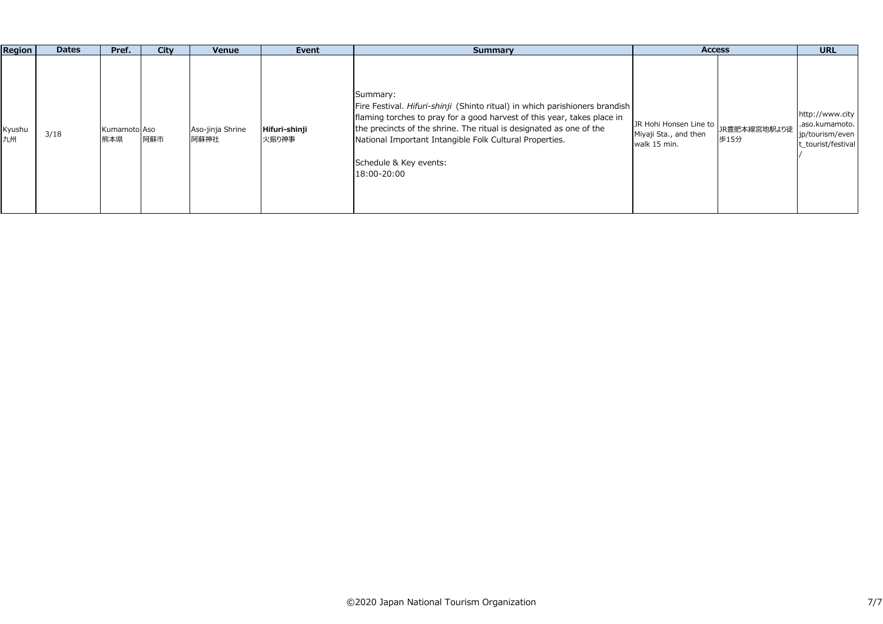| <b>Region</b> | <b>Dates</b> | Pref.               | City | Venue                    | Event                  | Summary                                                                                                                                                                                                                                                                                                                                       | <b>Access</b>                                                                           | <b>URL</b>                                                                 |
|---------------|--------------|---------------------|------|--------------------------|------------------------|-----------------------------------------------------------------------------------------------------------------------------------------------------------------------------------------------------------------------------------------------------------------------------------------------------------------------------------------------|-----------------------------------------------------------------------------------------|----------------------------------------------------------------------------|
| Kyushu<br>九州  | 3/18         | Kumamoto Aso<br>熊本県 | 阿蘇市  | Aso-jinja Shrine<br>阿蘇神社 | Hifuri-shinji<br>火振り神事 | Summary:<br>Fire Festival. Hifuri-shinji (Shinto ritual) in which parishioners brandish<br>flaming torches to pray for a good harvest of this year, takes place in<br>the precincts of the shrine. The ritual is designated as one of the<br>National Important Intangible Folk Cultural Properties.<br>Schedule & Key events:<br>18:00-20:00 | JR Hohi Honsen Line to<br>JR豊肥本線宮地駅より徒<br>Miyaji Sta., and then<br>歩15分<br>walk 15 min. | http://www.city<br>.aso.kumamoto.<br>jp/tourism/even<br>t_tourist/festival |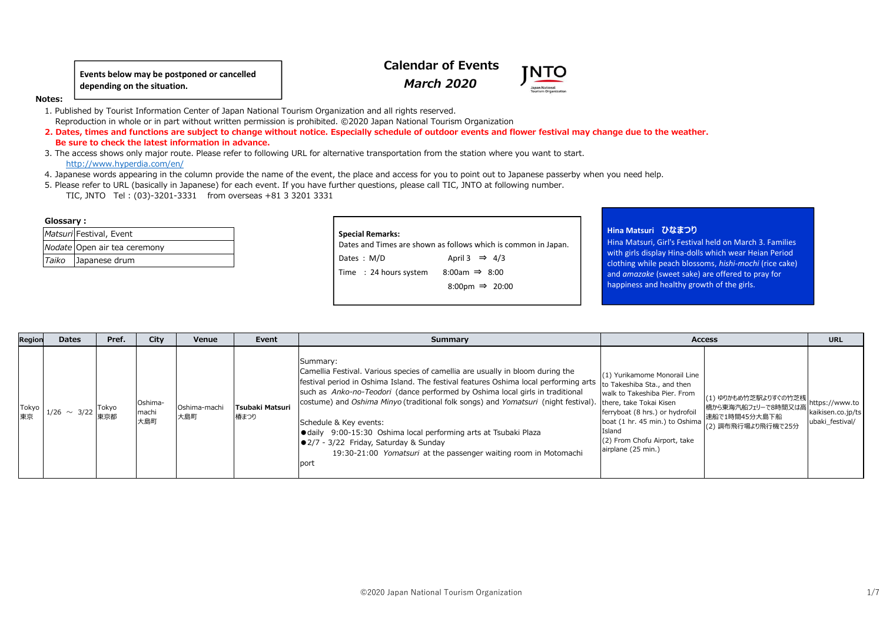**Events below may be postponed or cancelled depending on the situation.**

# **Calendar of Events***March 2020*

**NTC** 



 1. Published by Tourist Information Center of Japan National Tourism Organization and all rights reserved. Reproduction in whole or in part without written permission is prohibited. ©2020 Japan National Tourism Organization

 **2. Dates, times and functions are subject to change without notice. Especially schedule of outdoor events and flower festival may change due to the weather. Be sure to check the latest information in advance.**

- 3. The access shows only major route. Please refer to following URL for alternative transportation from the station where you want to start.http://www.hyperdia.com/en/
- 4. Japanese words appearing in the column provide the name of the event, the place and access for you to point out to Japanese passerby when you need help.
- 5. Please refer to URL (basically in Japanese) for each event. If you have further questions, please call TIC, JNTO at following number.TIC, JNTO Tel : (03)-3201-3331 from overseas +81 3 3201 3331

#### **Glossary**:

| Matsuri Festival, Event      |
|------------------------------|
| Nodate Open air tea ceremony |
| Taiko Japanese drum          |

# **Special Remarks:**

Dates and Times are shown as follows which is common in Japan.Dates :  $M/D$ April 3  $\Rightarrow$  4/3 Time  $: 24$  hours system 8:00am  $\Rightarrow$  8:00 8:00pm ⇒ 20:00

## **Hina Matsuri ひなまつり**

 Hina Matsuri, Girl's Festival held on March 3. Families with girls display Hina-dolls which wear Heian Period clothing while peach blossoms, *hishi-mochi* (rice cake) and *amazake* (sweet sake) are offered to pray for happiness and healthy growth of the girls.

| Region      | <b>Dates</b>        | Pref. | City                    | Venue               | Event                   | Summary                                                                                                                                                                                                                                                                                                                                                                                                                                                                                                                                                                                                         | <b>Access</b>                                                                                                                                                                                                                    |                                                                                   | <b>URL</b>                                             |
|-------------|---------------------|-------|-------------------------|---------------------|-------------------------|-----------------------------------------------------------------------------------------------------------------------------------------------------------------------------------------------------------------------------------------------------------------------------------------------------------------------------------------------------------------------------------------------------------------------------------------------------------------------------------------------------------------------------------------------------------------------------------------------------------------|----------------------------------------------------------------------------------------------------------------------------------------------------------------------------------------------------------------------------------|-----------------------------------------------------------------------------------|--------------------------------------------------------|
| Tokyo<br>東京 | $1/26$ ~ 3/22 Tokyo |       | Oshima-<br>machi<br>大島町 | Oshima-machi<br>大島町 | Tsubaki Matsuri<br>椿まつり | Summary:<br>Camellia Festival. Various species of camellia are usually in bloom during the<br>  festival period in Oshima Island. The festival features Oshima local performing arts<br>such as Anko-no-Teodori (dance performed by Oshima local girls in traditional<br>costume) and Oshima Minyo (traditional folk songs) and Yomatsuri (night festival). there, take Tokai Kisen<br>Schedule & Key events:<br>● daily 9:00-15:30 Oshima local performing arts at Tsubaki Plaza<br>$\bullet$ 2/7 - 3/22 Friday, Saturday & Sunday<br>19:30-21:00 Yomatsuri at the passenger waiting room in Motomachi<br>port | (1) Yurikamome Monorail Line<br>to Takeshiba Sta., and then<br>walk to Takeshiba Pier, From<br>ferryboat (8 hrs.) or hydrofoil<br>boat (1 hr. 45 min.) to Oshima<br>Island<br>(2) From Chofu Airport, take<br>airplane (25 min.) | (1) ゆりかもめ竹芝駅よりすぐの竹芝桟<br>橋から東海汽船フェリーで8時間又は高<br>速船で1時間45分大島下船<br>(2) 調布飛行場より飛行機で25分 | https://www.to<br>kaikisen.co.jp/ts<br>ubaki festival/ |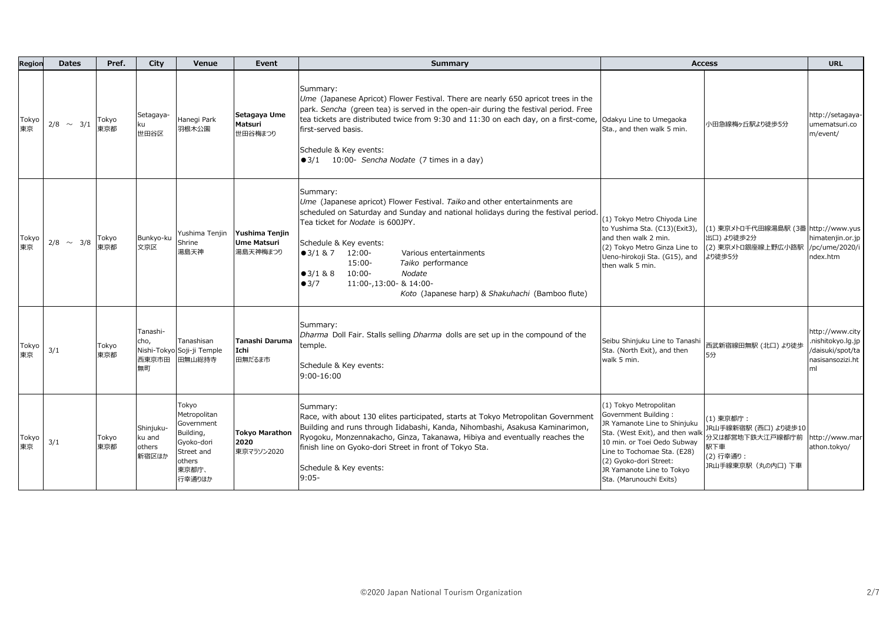| Regior      | <b>Dates</b>   | Pref.        | City                                   | Venue                                                                                                     | Event                                            | Summary                                                                                                                                                                                                                                                                                                                                                                                                                                                                |                                                                                                                                                                                                                                                                   | <b>Access</b>                                                                                | <b>URL</b>                                                                          |
|-------------|----------------|--------------|----------------------------------------|-----------------------------------------------------------------------------------------------------------|--------------------------------------------------|------------------------------------------------------------------------------------------------------------------------------------------------------------------------------------------------------------------------------------------------------------------------------------------------------------------------------------------------------------------------------------------------------------------------------------------------------------------------|-------------------------------------------------------------------------------------------------------------------------------------------------------------------------------------------------------------------------------------------------------------------|----------------------------------------------------------------------------------------------|-------------------------------------------------------------------------------------|
| Tokyo<br>東京 | $2/8 \sim 3/1$ | Tokyo<br>東京都 | Setagaya-<br>世田谷区                      | Hanegi Park<br>羽根木公園                                                                                      | Setagaya Ume<br>Matsuri<br>世田谷梅まつり               | Summary:<br>Ume (Japanese Apricot) Flower Festival. There are nearly 650 apricot trees in the<br>park. Sencha (green tea) is served in the open-air during the festival period. Free<br>tea tickets are distributed twice from 9:30 and 11:30 on each day, on a first-come, Odakyu Line to Umegaoka<br>first-served basis.<br>Schedule & Key events:<br>●3/1 10:00- Sencha Nodate (7 times in a day)                                                                   | Sta., and then walk 5 min.                                                                                                                                                                                                                                        | 小田急線梅ヶ丘駅より徒歩5分                                                                               | http://setagaya-<br>umematsuri.co<br>m/event/                                       |
| Tokyo<br>東京 | $2/8 \sim 3/8$ | Tokyo<br>東京都 | Bunkyo-ku<br>文京区                       | Yushima Tenjin<br>Shrine<br>湯島天神                                                                          | Yushima Teniin<br><b>Ume Matsuri</b><br>湯島天神梅まつり | Summary:<br>Ume (Japanese apricot) Flower Festival. Taiko and other entertainments are<br>scheduled on Saturday and Sunday and national holidays during the festival period.<br>Tea ticket for Nodate is 600JPY.<br>Schedule & Key events:<br>$\bullet$ 3/1 & 7<br>12:00-<br>Various entertainments<br>$15:00-$<br>Taiko performance<br>$10:00 -$<br>Nodate<br>$-3/188$<br>11:00-,13:00- & 14:00-<br>$\bullet$ 3/7<br>Koto (Japanese harp) & Shakuhachi (Bamboo flute) | (1) Tokyo Metro Chiyoda Line<br>to Yushima Sta. (C13)(Exit3),<br>and then walk 2 min.<br>(2) Tokyo Metro Ginza Line to<br>Ueno-hirokoji Sta. (G15), and<br>then walk 5 min.                                                                                       | (1) 東京メトロ千代田線湯島駅 (3番 http://www.yus<br>出口) より徒歩2分<br>(2) 東京メトロ銀座線上野広小路駅<br>より徒歩5分            | himatenjin.or.jp<br>/pc/ume/2020/i<br>ndex.htm                                      |
| Tokyo<br>東京 | 3/1            | Tokyo<br>東京都 | Tanashi-<br>cho,<br>西東京市田<br>無町        | Tanashisan<br>Nishi-Tokyo Soji-ji Temple<br>田無山総持寺                                                        | Tanashi Daruma<br>Ichi<br>田無だるま市                 | Summary:<br>Dharma Doll Fair. Stalls selling Dharma dolls are set up in the compound of the<br>temple.<br>Schedule & Key events:<br>9:00-16:00                                                                                                                                                                                                                                                                                                                         | Seibu Shinjuku Line to Tanashi<br>Sta. (North Exit), and then<br>walk 5 min.                                                                                                                                                                                      | 西武新宿線田無駅 (北口) より徒<br>5分                                                                      | http://www.city<br>nishitokyo.lg.jp<br>/daisuki/spot/ta  <br>nasisansozizi.ht<br>ml |
| Tokyo<br>東京 | 3/1            | Tokyo<br>東京都 | Shinjuku-<br>ku and<br>others<br>新宿区ほか | Tokyo<br>Metropolitan<br>Government<br>Building,<br>Gyoko-dori<br>Street and<br>others<br>東京都庁、<br>行幸通りほか | <b>Tokyo Marathon</b><br>2020<br>東京マラソン2020      | Summary:<br>Race, with about 130 elites participated, starts at Tokyo Metropolitan Government<br>Building and runs through Iidabashi, Kanda, Nihombashi, Asakusa Kaminarimon,<br>Ryogoku, Monzennakacho, Ginza, Takanawa, Hibiya and eventually reaches the<br>finish line on Gyoko-dori Street in front of Tokyo Sta.<br>Schedule & Key events:<br>$9:05-$                                                                                                            | (1) Tokyo Metropolitan<br>Government Building:<br>JR Yamanote Line to Shinjuku<br>Sta. (West Exit), and then walk<br>10 min. or Toei Oedo Subway<br>Line to Tochomae Sta. (E28)<br>(2) Gyoko-dori Street:<br>JR Yamanote Line to Tokyo<br>Sta. (Marunouchi Exits) | (1) 東京都庁:<br>JR山手線新宿駅 (西口) より徒歩10<br>分又は都営地下鉄大江戸線都庁前<br>駅下車<br>(2) 行幸通り:<br>JR山手線東京駅(丸の内口)下車 | http://www.mar<br>athon.tokyo/                                                      |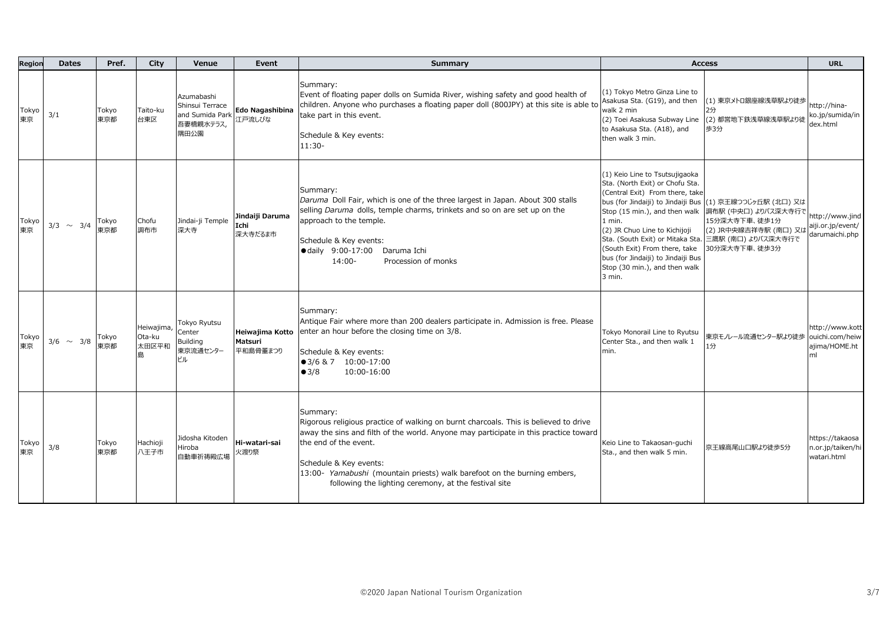| Region      | <b>Dates</b>   | Pref.        | City                          | Venue                                                                 | Event                                  | Summary                                                                                                                                                                                                                                                                                                                                                                          |                                                                                                                                                                                                                                                                                                                                                                                                    | <b>Access</b>                                                                                        | <b>URL</b>                                                |
|-------------|----------------|--------------|-------------------------------|-----------------------------------------------------------------------|----------------------------------------|----------------------------------------------------------------------------------------------------------------------------------------------------------------------------------------------------------------------------------------------------------------------------------------------------------------------------------------------------------------------------------|----------------------------------------------------------------------------------------------------------------------------------------------------------------------------------------------------------------------------------------------------------------------------------------------------------------------------------------------------------------------------------------------------|------------------------------------------------------------------------------------------------------|-----------------------------------------------------------|
| Tokyo<br>東京 | 3/1            | Tokyo<br>東京都 | Taito-ku<br>台東区               | Azumabashi<br>Shinsui Terrace<br>and Sumida Park<br>吾妻橋親水テラス,<br>隅田公園 | Edo Nagashibina<br>江戸流しびな              | Summary:<br>Event of floating paper dolls on Sumida River, wishing safety and good health of<br>children. Anyone who purchases a floating paper doll (800JPY) at this site is able to<br>take part in this event.<br>Schedule & Key events:<br>$11:30-$                                                                                                                          | (1) Tokyo Metro Ginza Line to<br>Asakusa Sta. (G19), and then<br>walk 2 min<br>(2) Toei Asakusa Subway Line<br>to Asakusa Sta. (A18), and<br>then walk 3 min.                                                                                                                                                                                                                                      | (1) 東京メトロ銀座線浅草駅より徒歩<br>2分<br>(2) 都営地下鉄浅草線浅草駅より徒<br>歩3分                                               | http://hina-<br>ko.jp/sumida/in<br>dex.html               |
| Tokyo<br>東京 | $3/3 \sim 3/4$ | Tokyo<br>東京都 | Chofu<br>調布市                  | Jindai-ji Temple<br>深大寺                                               | Jindaiji Daruma<br>Ichi<br>深大寺だるま市     | Summary:<br>Daruma Doll Fair, which is one of the three largest in Japan. About 300 stalls<br>selling Daruma dolls, temple charms, trinkets and so on are set up on the<br>approach to the temple.<br>Schedule & Key events:<br>· daily 9:00-17:00 Daruma Ichi<br>$14:00 -$<br>Procession of monks                                                                               | (1) Keio Line to Tsutsujigaoka<br>Sta. (North Exit) or Chofu Sta.<br>(Central Exit) From there, take<br>bus (for Jindaiji) to Jindaiji Bus (1) 京王線つつじヶ丘駅 (北口) 又は<br>Stop (15 min.), and then walk<br>1 min.<br>(2) JR Chuo Line to Kichijoji<br>Sta. (South Exit) or Mitaka Sta.<br>(South Exit) From there, take<br>bus (for Jindaiji) to Jindaiji Bus<br>Stop (30 min.), and then walk<br>3 min. | 調布駅 (中央口) よりバス深大寺行で<br>15分深大寺下車、徒歩1分<br>(2) JR中央線吉祥寺駅 (南口) 又は<br>三鷹駅 (南口) よりバス深大寺行で<br>30分深大寺下車、徒歩3分 | http://www.jind<br>aiji.or.jp/event/<br>darumaichi.php    |
| Tokyo<br>東京 | $3/6 \sim 3/8$ | Tokyo<br>東京都 | Heiwajima,<br>Ota-ku<br>太田区平和 | Tokyo Ryutsu<br>Center<br>Building<br>東京流通センター<br>ビル                  | Heiwajima Kotto<br>Matsuri<br>平和島骨董まつり | Summary:<br>Antique Fair where more than 200 dealers participate in. Admission is free. Please<br>enter an hour before the closing time on 3/8.<br>Schedule & Key events:<br>$\bullet$ 3/6 & 7 10:00-17:00<br>10:00-16:00<br>$\bullet$ 3/8                                                                                                                                       | Tokyo Monorail Line to Ryutsu<br>Center Sta., and then walk 1<br>min.                                                                                                                                                                                                                                                                                                                              | 東京モノレール流通センター駅より徒歩<br>1分                                                                             | http://www.kott<br>ouichi.com/heiw<br>ajima/HOME.ht<br>ml |
| Tokyo<br>東京 | 3/8            | Tokyo<br>東京都 | Hachioji<br>八王子市              | Jidosha Kitoden<br>Hiroba<br>自動車祈祷殿広場                                 | Hi-watari-sai<br>火渡り祭                  | Summary:<br>Rigorous religious practice of walking on burnt charcoals. This is believed to drive<br>away the sins and filth of the world. Anyone may participate in this practice toward<br>the end of the event.<br>Schedule & Key events:<br>13:00- Yamabushi (mountain priests) walk barefoot on the burning embers,<br>following the lighting ceremony, at the festival site | Keio Line to Takaosan-guchi<br>Sta., and then walk 5 min.                                                                                                                                                                                                                                                                                                                                          | 京王線高尾山口駅より徒歩5分                                                                                       | https://takaosa<br>n.or.jp/taiken/hi<br>watari.html       |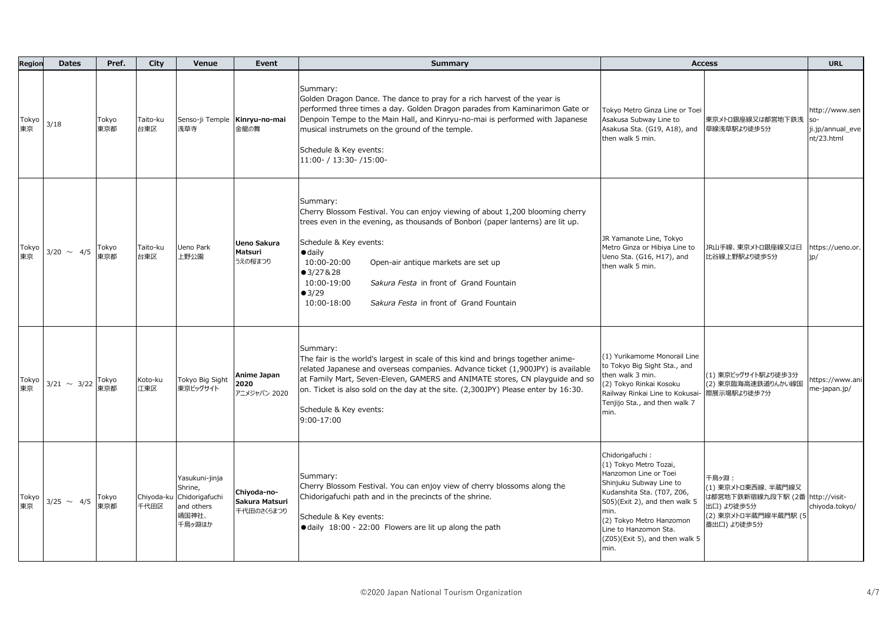| Region      | <b>Dates</b>     | Pref.        | City               | Venue                                                                        | Event                                       | Summary                                                                                                                                                                                                                                                                                                                                                                                                                  |                                                                                                                                                                                                                                                                     | <b>Access</b>                                                                                                       | <b>URL</b>                                       |
|-------------|------------------|--------------|--------------------|------------------------------------------------------------------------------|---------------------------------------------|--------------------------------------------------------------------------------------------------------------------------------------------------------------------------------------------------------------------------------------------------------------------------------------------------------------------------------------------------------------------------------------------------------------------------|---------------------------------------------------------------------------------------------------------------------------------------------------------------------------------------------------------------------------------------------------------------------|---------------------------------------------------------------------------------------------------------------------|--------------------------------------------------|
| Tokyo<br>東京 | 3/18             | Tokyo<br>東京都 | Taito-ku<br>台東区    | Senso-ji Temple Kinryu-no-mai<br>浅草寺                                         | 金龍の舞                                        | Summary:<br>Golden Dragon Dance. The dance to pray for a rich harvest of the year is<br>performed three times a day. Golden Dragon parades from Kaminarimon Gate or<br>Denpoin Tempe to the Main Hall, and Kinryu-no-mai is performed with Japanese<br>musical instrumets on the ground of the temple.<br>Schedule & Key events:<br>11:00- / 13:30- /15:00-                                                              | Tokyo Metro Ginza Line or Toei<br>Asakusa Subway Line to<br>Asakusa Sta. (G19, A18), and<br>then walk 5 min.                                                                                                                                                        | 東京メトロ銀座線又は都営地下鉄浅<br>草線浅草駅より徒歩5分                                                                                     | http://www.sen<br>ji.jp/annual_eve<br>nt/23.html |
| Tokyo       | $3/20 \sim 4/5$  | Tokyo<br>東京都 | Taito-ku<br>台東区    | Ueno Park<br>上野公園                                                            | Ueno Sakura<br>Matsuri<br>うえの桜まつり           | Summary:<br>Cherry Blossom Festival. You can enjoy viewing of about 1,200 blooming cherry<br>trees even in the evening, as thousands of Bonbori (paper lanterns) are lit up.<br>Schedule & Key events:<br>$\bullet$ daily<br>10:00-20:00<br>Open-air antique markets are set up<br>•3/27828<br>10:00-19:00<br>Sakura Festa in front of Grand Fountain<br>•3/29<br>10:00-18:00<br>Sakura Festa in front of Grand Fountain | JR Yamanote Line, Tokyo<br>Metro Ginza or Hibiya Line to<br>Ueno Sta. (G16, H17), and<br>then walk 5 min.                                                                                                                                                           | JR山手線、東京メトロ銀座線又は日<br>比谷線上野駅より徒歩5分                                                                                   | https://ueno.or.<br>ip/                          |
| Tokyo<br>東京 | $3/21 \sim 3/22$ | Tokyo<br>東京都 | Koto-ku<br>江東区     | Tokyo Big Sight<br>東京ビッグサイト                                                  | Anime Japan<br>2020<br>アニメジャパン 2020         | Summary:<br>The fair is the world's largest in scale of this kind and brings together anime-<br>related Japanese and overseas companies. Advance ticket (1,900JPY) is available<br>at Family Mart, Seven-Eleven, GAMERS and ANIMATE stores, CN playquide and so<br>on. Ticket is also sold on the day at the site. (2,300JPY) Please enter by 16:30.<br>Schedule & Key events:<br>$9:00-17:00$                           | (1) Yurikamome Monorail Line<br>to Tokyo Big Sight Sta., and<br>then walk 3 min.<br>(2) Tokyo Rinkai Kosoku<br>Railway Rinkai Line to Kokusai-<br>Tenjijo Sta., and then walk 7<br>min.                                                                             | (1) 東京ビッグサイト駅より徒歩3分<br>(2) 東京臨海高速鉄道りんかい線国<br>際展示場駅より徒歩7分                                                            | https://www.ani<br>me-japan.jp/                  |
| Tokyo<br>東京 | $3/25 \sim 4/5$  | Tokyo<br>東京都 | Chiyoda-ku<br>千代田区 | Yasukuni-jinja<br>Shrine,<br>Chidorigafuchi<br>and others<br>靖国神社、<br>千鳥ヶ淵ほか | Chiyoda-no-<br>Sakura Matsuri<br>千代田のさくらまつり | Summary:<br>Cherry Blossom Festival. You can enjoy view of cherry blossoms along the<br>Chidorigafuchi path and in the precincts of the shrine.<br>Schedule & Key events:<br>● daily 18:00 - 22:00 Flowers are lit up along the path                                                                                                                                                                                     | Chidorigafuchi:<br>(1) Tokyo Metro Tozai,<br>Hanzomon Line or Toei<br>Shinjuku Subway Line to<br>Kudanshita Sta. (T07, Z06,<br>S05)(Exit 2), and then walk 5<br>min.<br>(2) Tokyo Metro Hanzomon<br>Line to Hanzomon Sta.<br>(Z05)(Exit 5), and then walk 5<br>min. | 千鳥ヶ淵:<br>(1) 東京メトロ東西線、半蔵門線又<br>は都営地下鉄新宿線九段下駅 (2番 http://visit-<br>出口) より徒歩5分<br>(2) 東京メトロ半蔵門線半蔵門駅 (5<br>番出口) より徒歩5分 | chiyoda.tokyo/                                   |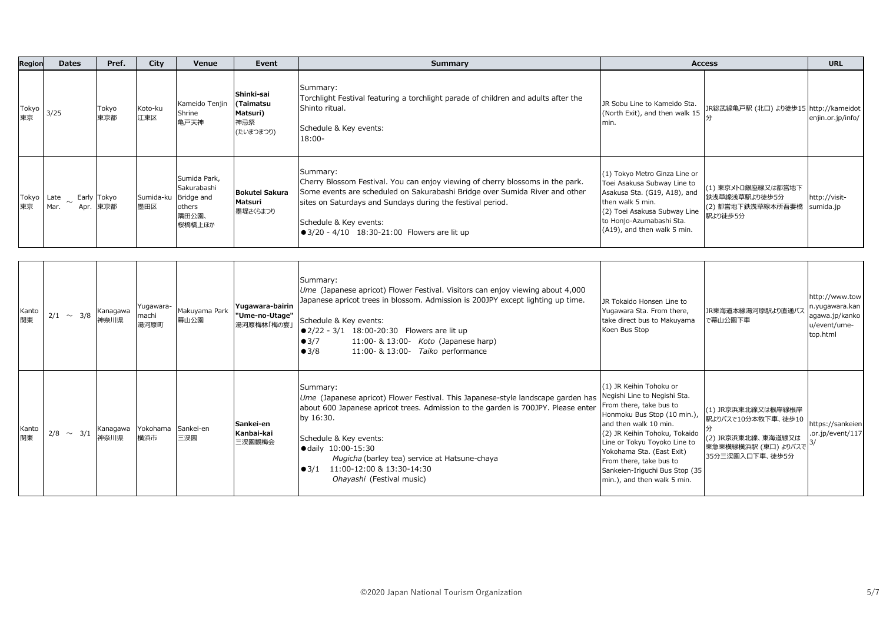| Region      | <b>Dates</b>                    | Pref.            | City                       | Venue                                                                            | Event                                                   | Summary                                                                                                                                                                                                                                                                                                                                                                  | <b>Access</b>                                                                                                                                                                                                                                                                                                                        |                                                                                                                       | <b>URL</b>                                                                     |
|-------------|---------------------------------|------------------|----------------------------|----------------------------------------------------------------------------------|---------------------------------------------------------|--------------------------------------------------------------------------------------------------------------------------------------------------------------------------------------------------------------------------------------------------------------------------------------------------------------------------------------------------------------------------|--------------------------------------------------------------------------------------------------------------------------------------------------------------------------------------------------------------------------------------------------------------------------------------------------------------------------------------|-----------------------------------------------------------------------------------------------------------------------|--------------------------------------------------------------------------------|
| Tokyo<br>東京 | 3/25                            | Tokyo<br>東京都     | Koto-ku<br>江東区             | Kameido Tenjin<br>Shrine<br>亀戸天神                                                 | Shinki-sai<br>(Taimatsu<br>Matsuri)<br>神忌祭<br>(たいまつまつり) | Summary:<br>Torchlight Festival featuring a torchlight parade of children and adults after the<br>Shinto ritual.<br>Schedule & Key events:<br>$18:00 -$                                                                                                                                                                                                                  | JR Sobu Line to Kameido Sta.<br>(North Exit), and then walk 15<br>min.                                                                                                                                                                                                                                                               | JR総武線亀戸駅 (北口) より徒歩15 http://kameidot                                                                                  | enjin.or.jp/info/                                                              |
| Tokyo<br>東京 | Late $\sim$ Early Tokyo<br>Mar. | Apr. 東京都         | 墨田区                        | Sumida Park,<br>Sakurabashi<br>Sumida-ku Bridge and<br>others<br>隅田公園、<br>桜橋橋上ほか | <b>Bokutei Sakura</b><br>Matsuri<br>墨堤さくらまつり            | Summary:<br>Cherry Blossom Festival. You can enjoy viewing of cherry blossoms in the park.<br>Some events are scheduled on Sakurabashi Bridge over Sumida River and other<br>sites on Saturdays and Sundays during the festival period.<br>Schedule & Key events:<br>● 3/20 - 4/10 18:30-21:00 Flowers are lit up                                                        | (1) Tokyo Metro Ginza Line or<br>Toei Asakusa Subway Line to<br>Asakusa Sta. (G19, A18), and<br>then walk 5 min.<br>(2) Toei Asakusa Subway Line<br>to Honjo-Azumabashi Sta.<br>(A19), and then walk 5 min.                                                                                                                          | (1) 東京メトロ銀座線又は都営地下<br>鉄浅草線浅草駅より徒歩5分<br>(2) 都営地下鉄浅草線本所吾妻橋<br>駅より徒歩5分                                                   | http://visit-<br>sumida.jp                                                     |
| Kanto<br>関東 | $2/1 \sim 3/8$                  | Kanagawa<br>神奈川県 | Yugawara-<br>machi<br>湯河原町 | Makuyama Park<br>幕山公園                                                            | Yugawara-bairin<br>"Ume-no-Utage"<br>湯河原梅林「梅の宴          | Summary:<br>Ume (Japanese apricot) Flower Festival. Visitors can enjoy viewing about 4,000<br>Japanese apricot trees in blossom. Admission is 200JPY except lighting up time.<br>Schedule & Key events:<br>● 2/22 - 3/1 18:00-20:30 Flowers are lit up<br>•3/7<br>11:00- & 13:00- Koto (Japanese harp)<br>11:00- & 13:00- Taiko performance<br>•3/8                      | JR Tokaido Honsen Line to<br>Yugawara Sta. From there,<br>take direct bus to Makuyama<br>Koen Bus Stop                                                                                                                                                                                                                               | JR東海道本線湯河原駅より直通バフ<br>で幕山公園下車                                                                                          | ittp://www.tow<br>1.yugawara.kan<br>agawa.jp/kanko<br>u/event/ume-<br>top.html |
| Kanto<br>関東 | $2/8 \sim 3/1$                  | Kanagawa<br>神奈川県 | Yokohama<br>横浜市            | Sankei-en<br>三渓園                                                                 | Sankei-en<br>Kanbai-kai<br>三渓園観梅会                       | Summary:<br>Ume (Japanese apricot) Flower Festival. This Japanese-style landscape garden has<br>about 600 Japanese apricot trees. Admission to the garden is 700JPY. Please enter<br>by 16:30.<br>Schedule & Key events:<br>● daily 10:00-15:30<br>Mugicha (barley tea) service at Hatsune-chaya<br>$\bullet$ 3/1 11:00-12:00 & 13:30-14:30<br>Ohayashi (Festival music) | (1) JR Keihin Tohoku or<br>Negishi Line to Negishi Sta.<br>From there, take bus to<br>Honmoku Bus Stop (10 min.),<br>and then walk 10 min.<br>(2) JR Keihin Tohoku, Tokaido<br>Line or Tokyu Toyoko Line to<br>Yokohama Sta. (East Exit)<br>From there, take bus to<br>Sankeien-Iriguchi Bus Stop (35<br>min.), and then walk 5 min. | (1) JR京浜東北線又は根岸線根岸<br>駅よりバスで10分本牧下車、徒歩10<br>(2) JR京浜東北線、東海道線又は<br>東急東横線横浜駅 (東口) よりバスで <sup>3</sup><br>35分三渓園入口下車、徒歩5分 | https://sankeien<br>or.jp/event/117                                            |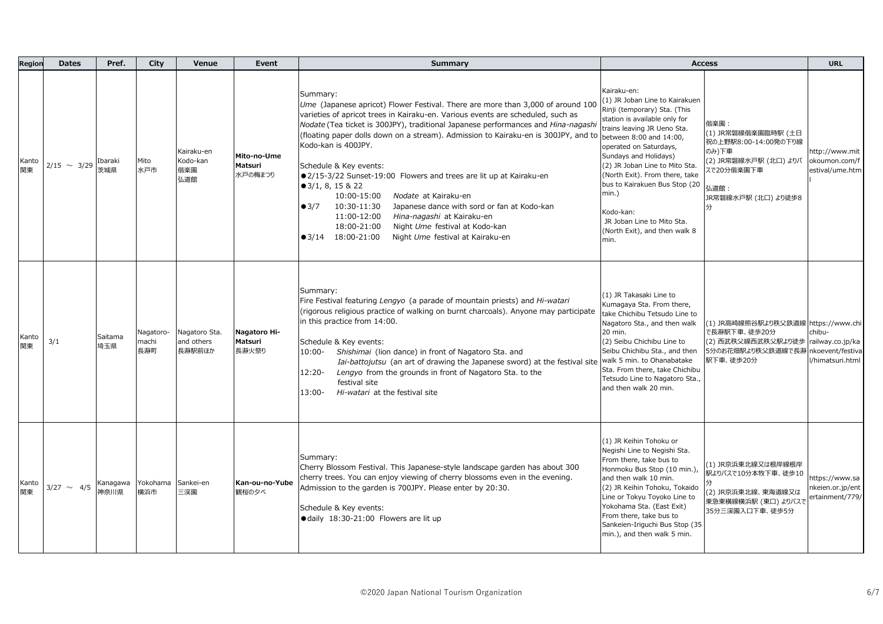| Region      | <b>Dates</b>     | Pref.            | City                      | Venue                                 | Event                             | <b>Summary</b>                                                                                                                                                                                                                                                                                                                                                                                                                                                                                                                                                                                                                                                                                                                                                                             | <b>Access</b>                                                                                                                                                                                                                                                                                                                                                                                                                    |                                                                                                                                    | <b>URL</b>                                                         |
|-------------|------------------|------------------|---------------------------|---------------------------------------|-----------------------------------|--------------------------------------------------------------------------------------------------------------------------------------------------------------------------------------------------------------------------------------------------------------------------------------------------------------------------------------------------------------------------------------------------------------------------------------------------------------------------------------------------------------------------------------------------------------------------------------------------------------------------------------------------------------------------------------------------------------------------------------------------------------------------------------------|----------------------------------------------------------------------------------------------------------------------------------------------------------------------------------------------------------------------------------------------------------------------------------------------------------------------------------------------------------------------------------------------------------------------------------|------------------------------------------------------------------------------------------------------------------------------------|--------------------------------------------------------------------|
| Kanto<br>関東 | $2/15 \sim 3/29$ | Ibaraki<br>茨城県   | Mito<br>水戸市               | Kairaku-en<br>Kodo-kan<br>偕楽園<br>弘道館  | Mito-no-Ume<br>Matsuri<br>水戸の梅まつり | Summary:<br>Ume (Japanese apricot) Flower Festival. There are more than 3,000 of around 100<br>varieties of apricot trees in Kairaku-en. Various events are scheduled, such as<br>Nodate (Tea ticket is 300JPY), traditional Japanese performances and Hina-nagashi<br>(floating paper dolls down on a stream). Admission to Kairaku-en is 300JPY, and to<br>Kodo-kan is 400JPY.<br>Schedule & Key events:<br>●2/15-3/22 Sunset-19:00 Flowers and trees are lit up at Kairaku-en<br>$\bullet$ 3/1, 8, 15 & 22<br>10:00-15:00<br>Nodate at Kairaku-en<br>Japanese dance with sord or fan at Kodo-kan<br>•3/7<br>10:30-11:30<br>11:00-12:00<br>Hina-nagashi at Kairaku-en<br>18:00-21:00<br>Night Ume festival at Kodo-kan<br>$\bullet$ 3/14 18:00-21:00<br>Night Ume festival at Kairaku-en | Kairaku-en:<br>(1) JR Joban Line to Kairakuen<br>Rinji (temporary) Sta. (This<br>station is available only for<br>trains leaving JR Ueno Sta.<br>between 8:00 and 14:00,<br>operated on Saturdays,<br>Sundays and Holidays)<br>(2) JR Joban Line to Mito Sta.<br>(North Exit). From there, take<br>bus to Kairakuen Bus Stop (20<br>$min.$ )<br>Kodo-kan:<br>JR Joban Line to Mito Sta.<br>(North Exit), and then walk 8<br>min. | 偕楽園:<br>(1) JR常磐線偕楽園臨時駅 (土日<br>祝の上野駅8:00-14:00発の下り線<br>のみ)下車<br>(2) JR常磐線水戸駅 (北口) よりバ<br>スで20分偕楽園下車<br>弘道館:<br>JR常磐線水戸駅 (北口) より徒歩8 | http://www.mit<br>okoumon.com/f<br>estival/ume.htm                 |
| Kanto<br>関東 | 3/1              | Saitama<br>埼玉県   | Nagatoro-<br>machi<br>長瀞町 | Nagatoro Sta.<br>and others<br>長瀞駅前ほか | Nagatoro Hi-<br>Matsuri<br>長瀞火祭り  | Summary:<br>Fire Festival featuring Lengyo (a parade of mountain priests) and Hi-watari<br>(rigorous religious practice of walking on burnt charcoals). Anyone may participate<br>in this practice from 14:00.<br>Schedule & Key events:<br>Shishimai (lion dance) in front of Nagatoro Sta. and<br>10:00-<br>Iai-battojutsu (an art of drawing the Japanese sword) at the festival site walk 5 min. to Ohanabatake<br>12:20-<br>Lengyo from the grounds in front of Nagatoro Sta. to the<br>festival site<br>Hi-watari at the festival site<br>13:00-                                                                                                                                                                                                                                     | (1) JR Takasaki Line to<br>Kumagaya Sta. From there,<br>take Chichibu Tetsudo Line to<br>Nagatoro Sta., and then walk<br>20 min.<br>(2) Seibu Chichibu Line to<br>Seibu Chichibu Sta., and then<br>Sta. From there, take Chichibu<br>Tetsudo Line to Nagatoro Sta.,<br>and then walk 20 min.                                                                                                                                     | (1) JR高崎線熊谷駅より秩父鉄道線 https://www.chi<br>で長瀞駅下車、徒歩20分<br>(2) 西武秩父線西武秩父駅より徒歩<br>5分のお花畑駅より秩父鉄道線で長瀞<br>駅下車、徒歩20分                        | chibu-<br>railway.co.jp/ka<br>nkoevent/festiva<br>l/himatsuri.html |
| Kanto<br>関東 | $3/27 \sim 4/5$  | Kanagawa<br>神奈川県 | Yokohama Sankei-en<br>横浜市 | 三渓園                                   | Kan-ou-no-Yube<br>観桜の夕べ           | Summary:<br>Cherry Blossom Festival. This Japanese-style landscape garden has about 300<br>cherry trees. You can enjoy viewing of cherry blossoms even in the evening.<br>Admission to the garden is 700JPY. Please enter by 20:30.<br>Schedule & Key events:<br>· daily 18:30-21:00 Flowers are lit up                                                                                                                                                                                                                                                                                                                                                                                                                                                                                    | (1) JR Keihin Tohoku or<br>Negishi Line to Negishi Sta.<br>From there, take bus to<br>Honmoku Bus Stop (10 min.),<br>and then walk 10 min.<br>(2) JR Keihin Tohoku, Tokaido<br>Line or Tokyu Toyoko Line to<br>Yokohama Sta. (East Exit)<br>From there, take bus to<br>Sankeien-Iriguchi Bus Stop (35<br>min.), and then walk 5 min.                                                                                             | (1) JR京浜東北線又は根岸線根岸<br>駅よりバスで10分本牧下車、徒歩10<br>(2) JR京浜東北線、東海道線又は<br>東急東横線横浜駅 (東口) よりバスで<br>35分三渓園入口下車、徒歩5分                           | https://www.sa<br>nkeien.or.jp/ent<br>ertainment/779/              |